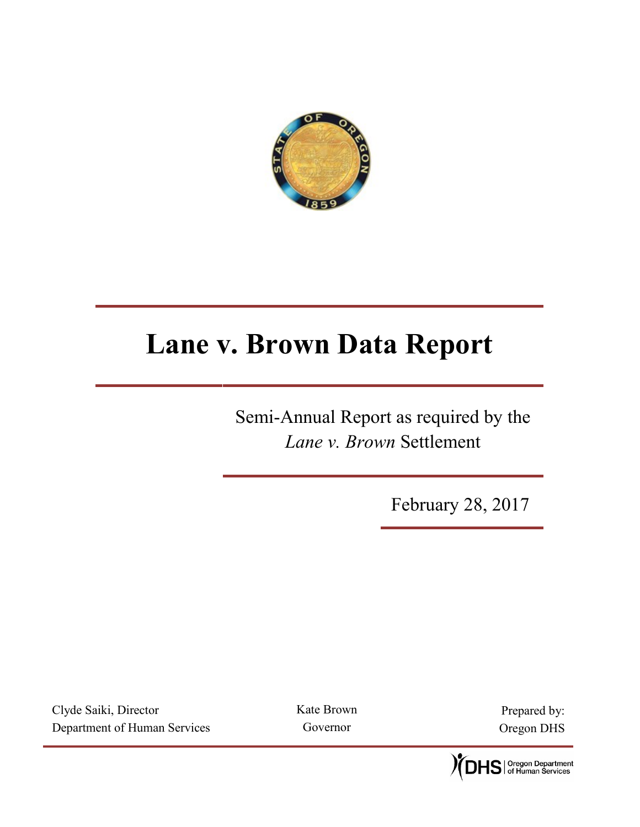

# **Lane v. Brown Data Report**

Semi-Annual Report as required by the *Lane v. Brown* Settlement

February 28, 2017

Clyde Saiki, Director Department of Human Services Kate Brown Governor

Prepared by: Oregon DHS

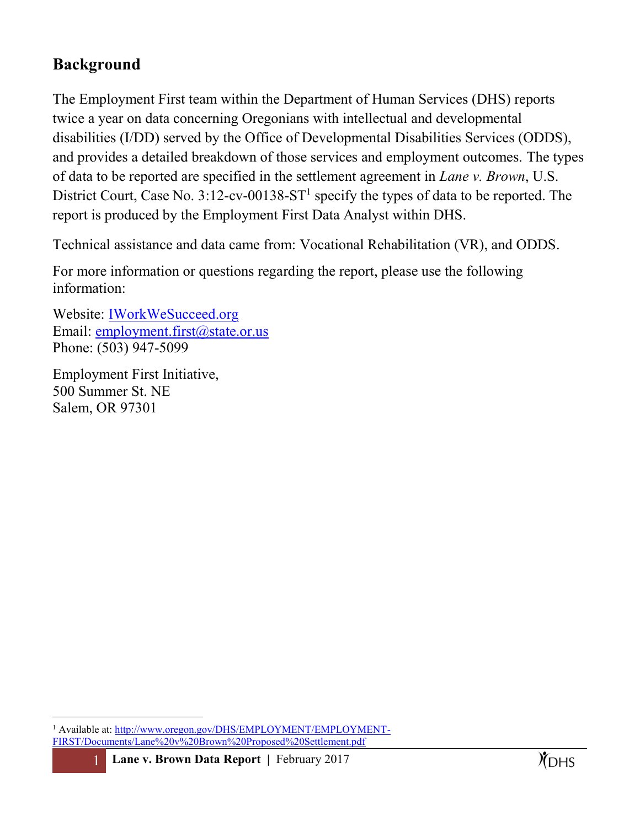## **Background**

The Employment First team within the Department of Human Services (DHS) reports twice a year on data concerning Oregonians with intellectual and developmental disabilities (I/DD) served by the Office of Developmental Disabilities Services (ODDS), and provides a detailed breakdown of those services and employment outcomes. The types of data to be reported are specified in the settlement agreement in *Lane v. Brown*, U.S. District Court, Case No.  $3:12$ -cv-00138-ST<sup>1</sup> specify the types of data to be reported. The report is produced by the Employment First Data Analyst within DHS.

Technical assistance and data came from: Vocational Rehabilitation (VR), and ODDS.

For more information or questions regarding the report, please use the following information:

Website: [IWorkWeSucceed.org](http://www.oregon.gov/dhs/employment/employment-first/pages/index.aspx) Email: [employment.first@state.or.us](mailto:employment.first@state.or.us) Phone: (503) 947-5099

Employment First Initiative, 500 Summer St. NE Salem, OR 97301

 $\overline{a}$ 

<sup>&</sup>lt;sup>1</sup> Available at: [http://www.oregon.gov/DHS/EMPLOYMENT/EMPLOYMENT-](http://www.oregon.gov/DHS/EMPLOYMENT/EMPLOYMENT-FIRST/Documents/Lane%20v%20Brown%20Proposed%20Settlement.pdf)[FIRST/Documents/Lane%20v%20Brown%20Proposed%20Settlement.pdf](http://www.oregon.gov/DHS/EMPLOYMENT/EMPLOYMENT-FIRST/Documents/Lane%20v%20Brown%20Proposed%20Settlement.pdf)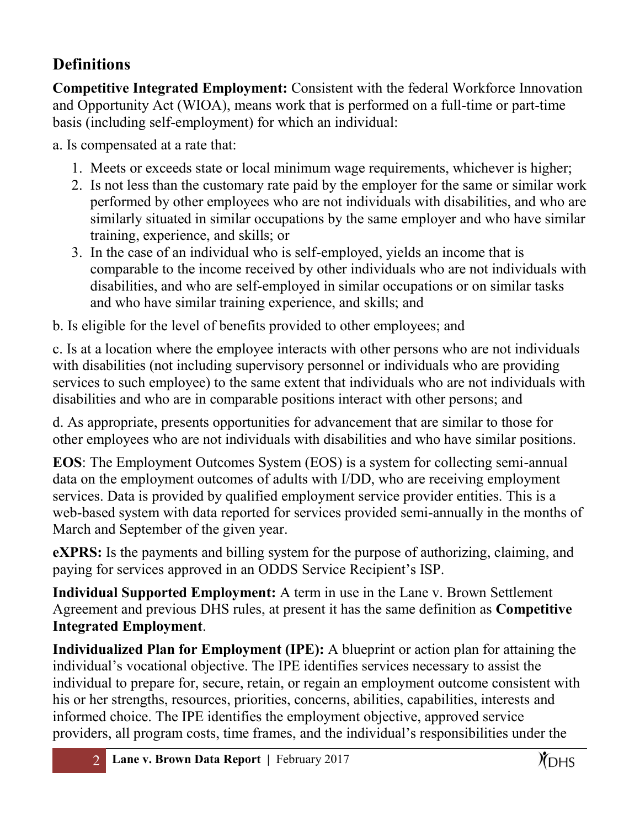# **Definitions**

**Competitive Integrated Employment:** Consistent with the federal Workforce Innovation and Opportunity Act (WIOA), means work that is performed on a full-time or part-time basis (including self-employment) for which an individual:

a. Is compensated at a rate that:

- 1. Meets or exceeds state or local minimum wage requirements, whichever is higher;
- 2. Is not less than the customary rate paid by the employer for the same or similar work performed by other employees who are not individuals with disabilities, and who are similarly situated in similar occupations by the same employer and who have similar training, experience, and skills; or
- 3. In the case of an individual who is self-employed, yields an income that is comparable to the income received by other individuals who are not individuals with disabilities, and who are self-employed in similar occupations or on similar tasks and who have similar training experience, and skills; and

b. Is eligible for the level of benefits provided to other employees; and

c. Is at a location where the employee interacts with other persons who are not individuals with disabilities (not including supervisory personnel or individuals who are providing services to such employee) to the same extent that individuals who are not individuals with disabilities and who are in comparable positions interact with other persons; and

d. As appropriate, presents opportunities for advancement that are similar to those for other employees who are not individuals with disabilities and who have similar positions.

**EOS**: The Employment Outcomes System (EOS) is a system for collecting semi-annual data on the employment outcomes of adults with I/DD, who are receiving employment services. Data is provided by qualified employment service provider entities. This is a web-based system with data reported for services provided semi-annually in the months of March and September of the given year.

**eXPRS:** Is the payments and billing system for the purpose of authorizing, claiming, and paying for services approved in an ODDS Service Recipient's ISP.

**Individual Supported Employment:** A term in use in the Lane v. Brown Settlement Agreement and previous DHS rules, at present it has the same definition as **Competitive Integrated Employment**.

**Individualized Plan for Employment (IPE):** A blueprint or action plan for attaining the individual's vocational objective. The IPE identifies services necessary to assist the individual to prepare for, secure, retain, or regain an employment outcome consistent with his or her strengths, resources, priorities, concerns, abilities, capabilities, interests and informed choice. The IPE identifies the employment objective, approved service providers, all program costs, time frames, and the individual's responsibilities under the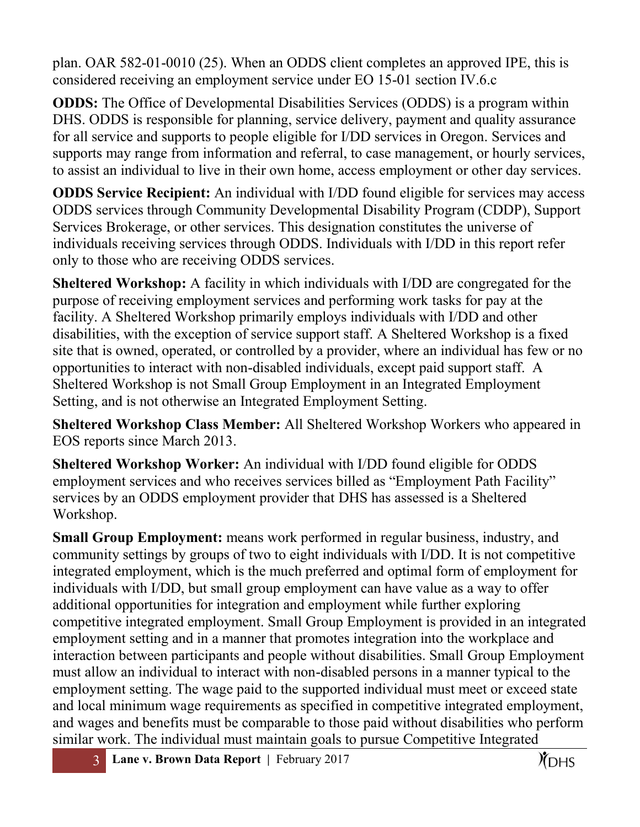plan. OAR 582-01-0010 (25). When an ODDS client completes an approved IPE, this is considered receiving an employment service under EO 15-01 section IV.6.c

**ODDS:** The Office of Developmental Disabilities Services (ODDS) is a program within DHS. ODDS is responsible for planning, service delivery, payment and quality assurance for all service and supports to people eligible for I/DD services in Oregon. Services and supports may range from information and referral, to case management, or hourly services, to assist an individual to live in their own home, access employment or other day services.

**ODDS Service Recipient:** An individual with I/DD found eligible for services may access ODDS services through Community Developmental Disability Program (CDDP), Support Services Brokerage, or other services. This designation constitutes the universe of individuals receiving services through ODDS. Individuals with I/DD in this report refer only to those who are receiving ODDS services.

**Sheltered Workshop:** A facility in which individuals with I/DD are congregated for the purpose of receiving employment services and performing work tasks for pay at the facility. A Sheltered Workshop primarily employs individuals with I/DD and other disabilities, with the exception of service support staff. A Sheltered Workshop is a fixed site that is owned, operated, or controlled by a provider, where an individual has few or no opportunities to interact with non-disabled individuals, except paid support staff. A Sheltered Workshop is not Small Group Employment in an Integrated Employment Setting, and is not otherwise an Integrated Employment Setting.

**Sheltered Workshop Class Member:** All Sheltered Workshop Workers who appeared in EOS reports since March 2013.

**Sheltered Workshop Worker:** An individual with I/DD found eligible for ODDS employment services and who receives services billed as "Employment Path Facility" services by an ODDS employment provider that DHS has assessed is a Sheltered Workshop.

**Small Group Employment:** means work performed in regular business, industry, and community settings by groups of two to eight individuals with I/DD. It is not competitive integrated employment, which is the much preferred and optimal form of employment for individuals with I/DD, but small group employment can have value as a way to offer additional opportunities for integration and employment while further exploring competitive integrated employment. Small Group Employment is provided in an integrated employment setting and in a manner that promotes integration into the workplace and interaction between participants and people without disabilities. Small Group Employment must allow an individual to interact with non-disabled persons in a manner typical to the employment setting. The wage paid to the supported individual must meet or exceed state and local minimum wage requirements as specified in competitive integrated employment, and wages and benefits must be comparable to those paid without disabilities who perform similar work. The individual must maintain goals to pursue Competitive Integrated

3 **Lane v. Brown Data Report |** February 2017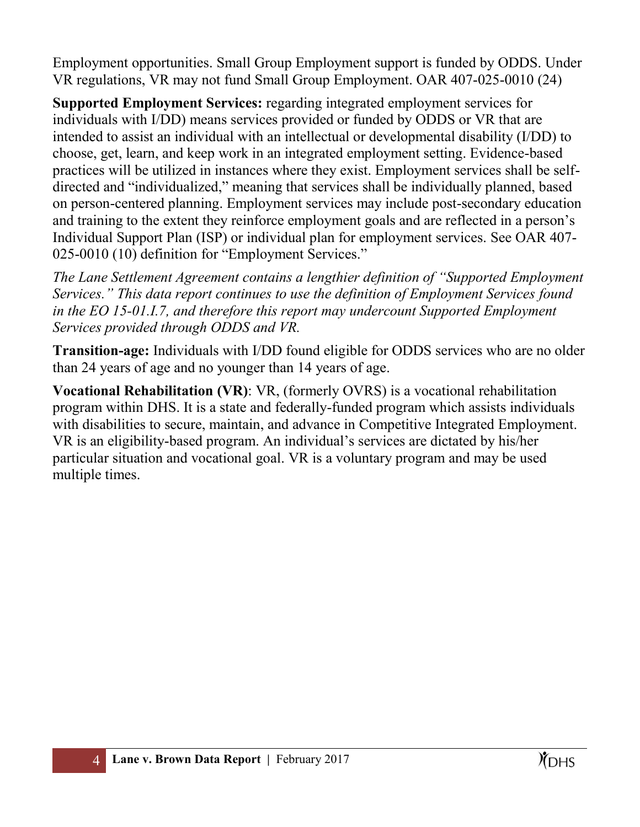Employment opportunities. Small Group Employment support is funded by ODDS. Under VR regulations, VR may not fund Small Group Employment. OAR 407-025-0010 (24)

**Supported Employment Services:** regarding integrated employment services for individuals with I/DD) means services provided or funded by ODDS or VR that are intended to assist an individual with an intellectual or developmental disability (I/DD) to choose, get, learn, and keep work in an integrated employment setting. Evidence-based practices will be utilized in instances where they exist. Employment services shall be selfdirected and "individualized," meaning that services shall be individually planned, based on person-centered planning. Employment services may include post-secondary education and training to the extent they reinforce employment goals and are reflected in a person's Individual Support Plan (ISP) or individual plan for employment services. See OAR 407- 025-0010 (10) definition for "Employment Services."

*The Lane Settlement Agreement contains a lengthier definition of "Supported Employment Services." This data report continues to use the definition of Employment Services found in the EO 15-01.I.7, and therefore this report may undercount Supported Employment Services provided through ODDS and VR.*

**Transition-age:** Individuals with I/DD found eligible for ODDS services who are no older than 24 years of age and no younger than 14 years of age.

**Vocational Rehabilitation (VR)**: VR, (formerly OVRS) is a vocational rehabilitation program within DHS. It is a state and federally-funded program which assists individuals with disabilities to secure, maintain, and advance in Competitive Integrated Employment. VR is an eligibility-based program. An individual's services are dictated by his/her particular situation and vocational goal. VR is a voluntary program and may be used multiple times.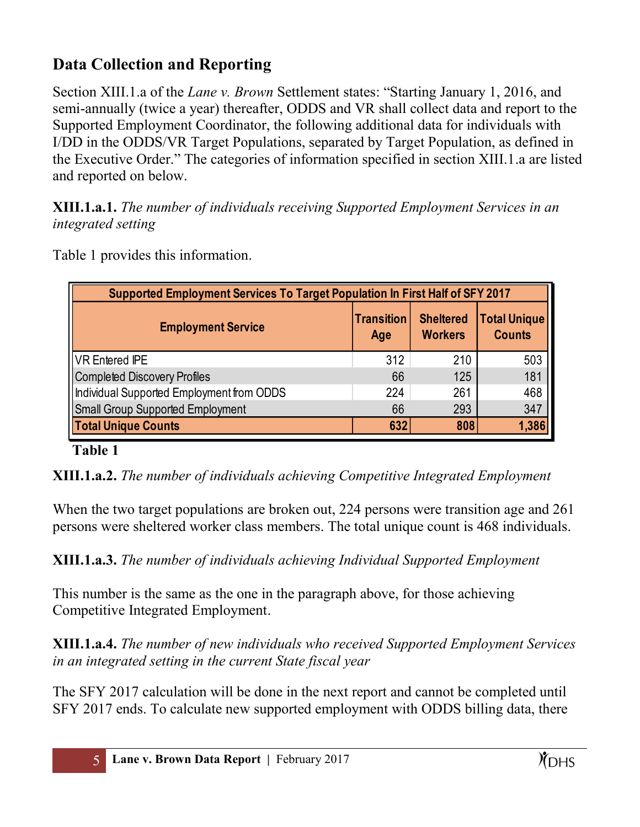# **Data Collection and Reporting**

Section XIII.1.a of the *Lane v. Brown* Settlement states: "Starting January 1, 2016, and semi-annually (twice a year) thereafter, ODDS and VR shall collect data and report to the Supported Employment Coordinator, the following additional data for individuals with I/DD in the ODDS/VR Target Populations, separated by Target Population, as defined in the Executive Order." The categories of information specified in section XIII.1.a are listed and reported on below.

**XIII.1.a.1.** *The number of individuals receiving Supported Employment Services in an integrated setting*

| Supported Employment Services To Target Population In First Half of SFY 2017 |                                                                                                        |     |       |  |  |  |  |
|------------------------------------------------------------------------------|--------------------------------------------------------------------------------------------------------|-----|-------|--|--|--|--|
| <b>Employment Service</b>                                                    | <b>Total Unique</b><br><b>Sheltered</b><br><b>Transition</b><br><b>Workers</b><br><b>Counts</b><br>Age |     |       |  |  |  |  |
| <b>VR Entered IPE</b>                                                        | 312                                                                                                    | 210 | 503   |  |  |  |  |
| Completed Discovery Profiles                                                 | 66                                                                                                     | 125 | 181   |  |  |  |  |
| Individual Supported Employment from ODDS                                    | 224                                                                                                    | 261 | 468   |  |  |  |  |
| <b>Small Group Supported Employment</b>                                      | 66                                                                                                     | 293 | 347   |  |  |  |  |
| <b>Total Unique Counts</b>                                                   | 632                                                                                                    | 808 | 1,386 |  |  |  |  |

Table 1 provides this information.

### **Table 1**

**XIII.1.a.2.** *The number of individuals achieving Competitive Integrated Employment*

When the two target populations are broken out, 224 persons were transition age and 261 persons were sheltered worker class members. The total unique count is 468 individuals.

**XIII.1.a.3.** *The number of individuals achieving Individual Supported Employment*

This number is the same as the one in the paragraph above, for those achieving Competitive Integrated Employment.

**XIII.1.a.4.** *The number of new individuals who received Supported Employment Services in an integrated setting in the current State fiscal year*

The SFY 2017 calculation will be done in the next report and cannot be completed until SFY 2017 ends. To calculate new supported employment with ODDS billing data, there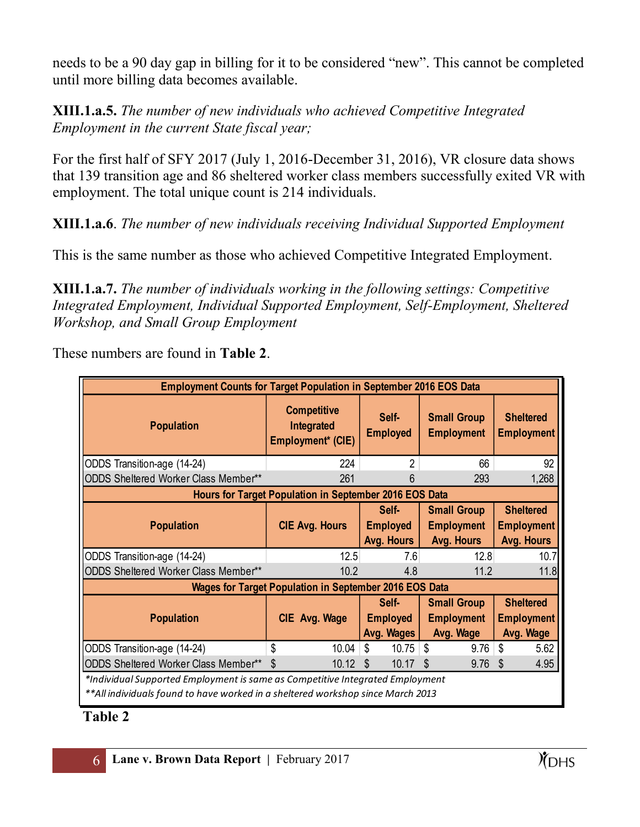needs to be a 90 day gap in billing for it to be considered "new". This cannot be completed until more billing data becomes available.

#### **XIII.1.a.5.** *The number of new individuals who achieved Competitive Integrated Employment in the current State fiscal year;*

For the first half of SFY 2017 (July 1, 2016-December 31, 2016), VR closure data shows that 139 transition age and 86 sheltered worker class members successfully exited VR with employment. The total unique count is 214 individuals.

**XIII.1.a.6**. *The number of new individuals receiving Individual Supported Employment*

This is the same number as those who achieved Competitive Integrated Employment.

**XIII.1.a.7.** *The number of individuals working in the following settings: Competitive Integrated Employment, Individual Supported Employment, Self-Employment, Sheltered Workshop, and Small Group Employment*

| <b>Employment Counts for Target Population in September 2016 EOS Data</b>       |                                                               |                          |                                         |                                       |  |  |  |  |
|---------------------------------------------------------------------------------|---------------------------------------------------------------|--------------------------|-----------------------------------------|---------------------------------------|--|--|--|--|
| <b>Population</b>                                                               | <b>Competitive</b><br>Integrated<br>Employment* (CIE)         | Self-<br><b>Employed</b> | <b>Small Group</b><br><b>Employment</b> | <b>Sheltered</b><br><b>Employment</b> |  |  |  |  |
| ODDS Transition-age (14-24)                                                     | 224                                                           | $\overline{2}$           | 66                                      | 92                                    |  |  |  |  |
| <b>ODDS Sheltered Worker Class Member**</b>                                     | 261                                                           | b                        | 293                                     |                                       |  |  |  |  |
| Hours for Target Population in September 2016 EOS Data                          |                                                               |                          |                                         |                                       |  |  |  |  |
|                                                                                 |                                                               | Self-                    | <b>Small Group</b>                      | <b>Sheltered</b>                      |  |  |  |  |
| <b>Population</b>                                                               | <b>CIE Avg. Hours</b>                                         | <b>Employed</b>          | <b>Employment</b>                       | <b>Employment</b>                     |  |  |  |  |
|                                                                                 |                                                               | Avg. Hours               | Avg. Hours                              | Avg. Hours                            |  |  |  |  |
| ODDS Transition-age (14-24)                                                     | 12.5                                                          | 7.6                      | 12.8                                    | 10.7                                  |  |  |  |  |
| <b>ODDS Sheltered Worker Class Member**</b>                                     | 10.2                                                          | 4.8                      | 11.2                                    | 11.8                                  |  |  |  |  |
|                                                                                 | <b>Wages for Target Population in September 2016 EOS Data</b> |                          |                                         |                                       |  |  |  |  |
|                                                                                 |                                                               | Self-                    | <b>Small Group</b>                      | <b>Sheltered</b>                      |  |  |  |  |
| <b>Population</b>                                                               | CIE Avg. Wage                                                 | <b>Employed</b>          | <b>Employment</b>                       | <b>Employment</b>                     |  |  |  |  |
|                                                                                 |                                                               | Avg. Wages               | Avg. Wage                               | Avg. Wage                             |  |  |  |  |
| ODDS Transition-age (14-24)                                                     | \$<br>10.04                                                   | \$<br>10.75              | S<br>9.76                               | \$<br>5.62                            |  |  |  |  |
| ODDS Sheltered Worker Class Member**                                            | 10.12<br>-S                                                   | 10.17<br>S               | 9.76<br>S                               | 4.95<br>S                             |  |  |  |  |
| *Individual Supported Employment is same as Competitive Integrated Employment   |                                                               |                          |                                         |                                       |  |  |  |  |
| **All individuals found to have worked in a sheltered workshop since March 2013 |                                                               |                          |                                         |                                       |  |  |  |  |

These numbers are found in **Table 2**.

## **Table 2**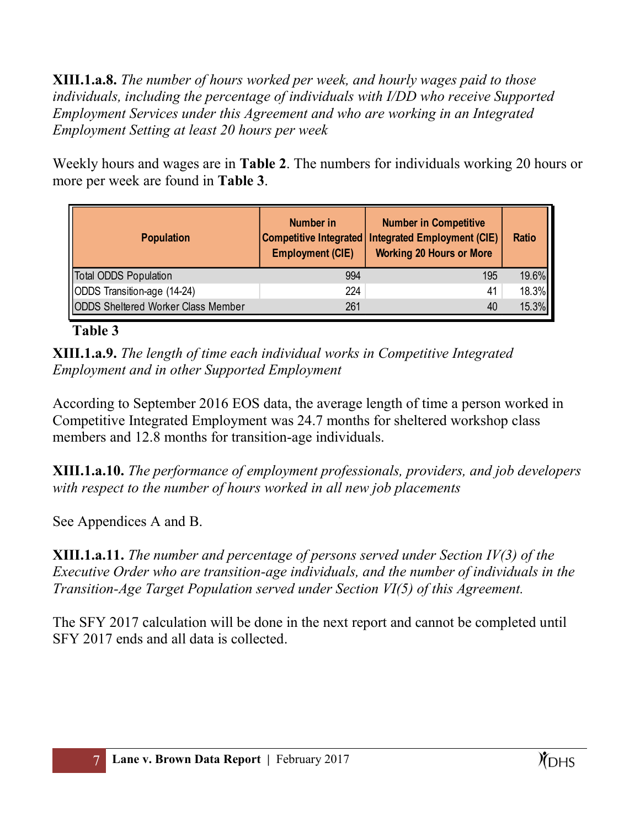**XIII.1.a.8.** *The number of hours worked per week, and hourly wages paid to those individuals, including the percentage of individuals with I/DD who receive Supported Employment Services under this Agreement and who are working in an Integrated Employment Setting at least 20 hours per week*

Weekly hours and wages are in **Table 2**. The numbers for individuals working 20 hours or more per week are found in **Table 3**.

| <b>Population</b>                         | Number in<br><b>Competitive Integrated</b><br><b>Employment (CIE)</b> | <b>Number in Competitive</b><br><b>Integrated Employment (CIE)</b><br><b>Working 20 Hours or More</b> | <b>Ratio</b> |
|-------------------------------------------|-----------------------------------------------------------------------|-------------------------------------------------------------------------------------------------------|--------------|
| <b>Total ODDS Population</b>              | 994                                                                   | 195                                                                                                   | 19.6%        |
| ODDS Transition-age (14-24)               | 224                                                                   | 41                                                                                                    | 18.3%        |
| <b>ODDS Sheltered Worker Class Member</b> | 261                                                                   | 40                                                                                                    | 15.3%        |

#### **Table 3**

**XIII.1.a.9.** *The length of time each individual works in Competitive Integrated Employment and in other Supported Employment*

According to September 2016 EOS data, the average length of time a person worked in Competitive Integrated Employment was 24.7 months for sheltered workshop class members and 12.8 months for transition-age individuals.

**XIII.1.a.10.** *The performance of employment professionals, providers, and job developers with respect to the number of hours worked in all new job placements*

See Appendices A and B.

**XIII.1.a.11.** *The number and percentage of persons served under Section IV(3) of the Executive Order who are transition-age individuals, and the number of individuals in the Transition-Age Target Population served under Section VI(5) of this Agreement.*

The SFY 2017 calculation will be done in the next report and cannot be completed until SFY 2017 ends and all data is collected.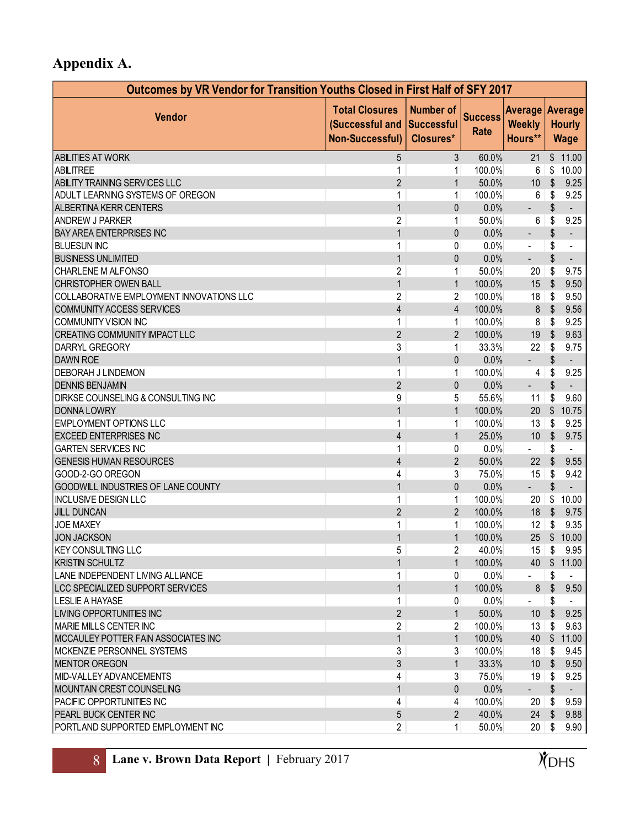# **Appendix A.**

| Outcomes by VR Vendor for Transition Youths Closed in First Half of SFY 2017 |                                                                    |                                             |                        |                                             |                         |                              |  |
|------------------------------------------------------------------------------|--------------------------------------------------------------------|---------------------------------------------|------------------------|---------------------------------------------|-------------------------|------------------------------|--|
| <b>Vendor</b>                                                                | <b>Total Closures</b><br>(Successful and<br><b>Non-Successful)</b> | <b>Number of</b><br>Successful<br>Closures* | <b>Success</b><br>Rate | Average Average<br><b>Weekly</b><br>Hours** |                         | <b>Hourly</b><br><b>Wage</b> |  |
| <b>ABILITIES AT WORK</b>                                                     | 5                                                                  | 3                                           | 60.0%                  | 21                                          |                         | \$11.00                      |  |
| ABILITREE                                                                    | 1                                                                  | 1                                           | 100.0%                 | 6                                           | \$                      | 10.00                        |  |
| ABILITY TRAINING SERVICES LLC                                                | $\overline{2}$                                                     | 1                                           | 50.0%                  | 10                                          | $\sqrt{2}$              | 9.25                         |  |
| ADULT LEARNING SYSTEMS OF OREGON                                             | 1                                                                  | 1                                           | 100.0%                 | 6                                           | S                       | 9.25                         |  |
| <b>ALBERTINA KERR CENTERS</b>                                                | $\mathbf{1}$                                                       | 0                                           | 0.0%                   | $\overline{\phantom{a}}$                    | \$                      | $\overline{\phantom{a}}$     |  |
| <b>ANDREW J PARKER</b>                                                       | $\overline{c}$                                                     | $\mathbf{1}$                                | 50.0%                  | 6                                           | S                       | 9.25                         |  |
| <b>BAY AREA ENTERPRISES INC</b>                                              | $\mathbf{1}$                                                       | 0                                           | 0.0%                   | $\overline{\phantom{a}}$                    | \$                      | $\overline{\phantom{a}}$     |  |
| <b>BLUESUN INC</b>                                                           | $\mathbf 1$                                                        | 0                                           | 0.0%                   | $\overline{\phantom{a}}$                    | \$                      | $\overline{\phantom{a}}$     |  |
| <b>BUSINESS UNLIMITED</b>                                                    | $\mathbf{1}$                                                       | 0                                           | 0.0%                   | $\overline{\phantom{a}}$                    | \$                      | $\overline{\phantom{a}}$     |  |
| CHARLENE M ALFONSO                                                           | $\overline{c}$                                                     | 1                                           | 50.0%                  | 20                                          | \$                      | 9.75                         |  |
| CHRISTOPHER OWEN BALL                                                        | $\mathbf{1}$                                                       | $\mathbf{1}$                                | 100.0%                 | 15                                          | $\sqrt{2}$              | 9.50                         |  |
| COLLABORATIVE EMPLOYMENT INNOVATIONS LLC                                     | $\overline{c}$                                                     | $\overline{2}$                              | 100.0%                 | 18                                          | S                       | 9.50                         |  |
| <b>COMMUNITY ACCESS SERVICES</b>                                             | 4                                                                  | $\overline{4}$                              | 100.0%                 | $\bf 8$                                     | $\sqrt[6]{\frac{1}{2}}$ | 9.56                         |  |
| COMMUNITY VISION INC                                                         | $\mathbf 1$                                                        | $\mathbf{1}$                                | 100.0%                 | 8                                           | \$                      | 9.25                         |  |
| <b>CREATING COMMUNITY IMPACT LLC</b>                                         | $\overline{2}$                                                     | $\overline{2}$                              | 100.0%                 | 19                                          | $\sqrt{2}$              | 9.63                         |  |
| DARRYL GREGORY                                                               | 3                                                                  | 1                                           | 33.3%                  | 22                                          | \$                      | 9.75                         |  |
| <b>DAWN ROE</b>                                                              | $\mathbf{1}$                                                       | 0                                           | 0.0%                   | $\blacksquare$                              | \$                      |                              |  |
| DEBORAH J LINDEMON                                                           | 1                                                                  | 1                                           | 100.0%                 | 4                                           | \$                      | 9.25                         |  |
| <b>DENNIS BENJAMIN</b>                                                       | $\overline{2}$                                                     | 0                                           | 0.0%                   | $\overline{\phantom{a}}$                    | \$                      |                              |  |
| DIRKSE COUNSELING & CONSULTING INC                                           | 9                                                                  | 5                                           | 55.6%                  | 11                                          | \$                      | 9.60                         |  |
| <b>DONNA LOWRY</b>                                                           | $\mathbf{1}$                                                       | $\mathbf{1}$                                | 100.0%                 | 20                                          | $\sqrt[6]{\frac{1}{2}}$ | 10.75                        |  |
| <b>EMPLOYMENT OPTIONS LLC</b>                                                | $\mathbf 1$                                                        | $\mathbf{1}$                                | 100.0%                 | 13                                          | \$                      | 9.25                         |  |
| <b>EXCEED ENTERPRISES INC</b>                                                | 4                                                                  | $\mathbf{1}$                                | 25.0%                  | 10                                          | $\sqrt{2}$              | 9.75                         |  |
| <b>GARTEN SERVICES INC</b>                                                   | $\mathbf 1$                                                        | 0                                           | 0.0%                   |                                             | \$                      |                              |  |
| <b>GENESIS HUMAN RESOURCES</b>                                               | 4                                                                  | $\overline{2}$                              | 50.0%                  | 22                                          | \$                      | 9.55                         |  |
| GOOD-2-GO OREGON                                                             | 4                                                                  | $\mathbf{3}$                                | 75.0%                  | 15                                          | \$                      | 9.42                         |  |
| GOODWILL INDUSTRIES OF LANE COUNTY                                           | $\mathbf{1}$                                                       | 0                                           | 0.0%                   | $\blacksquare$                              | \$                      | $\blacksquare$               |  |
| <b>INCLUSIVE DESIGN LLC</b>                                                  | $\mathbf 1$                                                        | $\mathbf{1}$                                | 100.0%                 | 20                                          | \$                      | 10.00                        |  |
| <b>JILL DUNCAN</b>                                                           | $\overline{2}$                                                     | $\overline{2}$                              | 100.0%                 | 18                                          | $\sqrt[6]{\frac{1}{2}}$ | 9.75                         |  |
| <b>JOE MAXEY</b>                                                             | 1                                                                  | $\mathbf{1}$                                | 100.0%                 | 12                                          | \$                      | 9.35                         |  |
| <b>JON JACKSON</b>                                                           | 1                                                                  | $\mathbf{1}$                                | 100.0%                 |                                             |                         | 25 \$ 10.00                  |  |
| <b>KEY CONSULTING LLC</b>                                                    | 5                                                                  | $2\vert$                                    | 40.0%                  |                                             |                         | $15$ \$ 9.95                 |  |
| <b>KRISTIN SCHULTZ</b>                                                       | $\mathbf{1}$                                                       | $\mathbf{1}$                                | 100.0%                 | 40                                          | \$                      | 11.00                        |  |
| LANE INDEPENDENT LIVING ALLIANCE                                             | 1                                                                  | $\overline{0}$                              | 0.0%                   | $\overline{\phantom{a}}$                    | \$                      |                              |  |
| LCC SPECIALIZED SUPPORT SERVICES                                             | $\mathbf{1}$                                                       | $\mathbf{1}$                                | 100.0%                 | $\bf 8$                                     | \$                      | 9.50                         |  |
| <b>LESLIE A HAYASE</b>                                                       | $\mathbf 1$                                                        | $\overline{0}$                              | 0.0%                   |                                             | S                       |                              |  |
| LIVING OPPORTUNITIES INC                                                     | $\overline{2}$                                                     | $\mathbf{1}$                                | 50.0%                  | 10 <sup>°</sup>                             | $\mathbb{S}$            | 9.25                         |  |
| <b>MARIE MILLS CENTER INC</b>                                                | 2                                                                  | $\overline{2}$                              | 100.0%                 | 13                                          | S                       | 9.63                         |  |
| MCCAULEY POTTER FAIN ASSOCIATES INC                                          | $\mathbf{1}$                                                       | $\mathbf{1}$                                | 100.0%                 | 40                                          |                         | \$11.00                      |  |
| MCKENZIE PERSONNEL SYSTEMS                                                   | 3                                                                  | 3 <sup>1</sup>                              | 100.0%                 | 18                                          | S                       | 9.45                         |  |
| MENTOR OREGON                                                                | 3                                                                  | $\mathbf{1}$                                | 33.3%                  | 10 <sup>°</sup>                             | \$                      | 9.50                         |  |
| MID-VALLEY ADVANCEMENTS                                                      | 4                                                                  | 3 <sup>1</sup>                              | 75.0%                  | 19                                          | S                       | 9.25                         |  |
| <b>MOUNTAIN CREST COUNSELING</b>                                             | $\mathbf{1}$                                                       | 0                                           | 0.0%                   | - 1                                         | \$                      |                              |  |
| PACIFIC OPPORTUNITIES INC                                                    | 4                                                                  | $\overline{4}$                              | 100.0%                 | 20                                          | \$                      | 9.59                         |  |
| PEARL BUCK CENTER INC                                                        | 5                                                                  | $\overline{2}$                              | 40.0%                  | 24                                          | -S                      | 9.88                         |  |
| PORTLAND SUPPORTED EMPLOYMENT INC                                            | $\overline{2}$                                                     | $\mathbf{1}$                                | 50.0%                  | 20                                          | S                       | 9.90                         |  |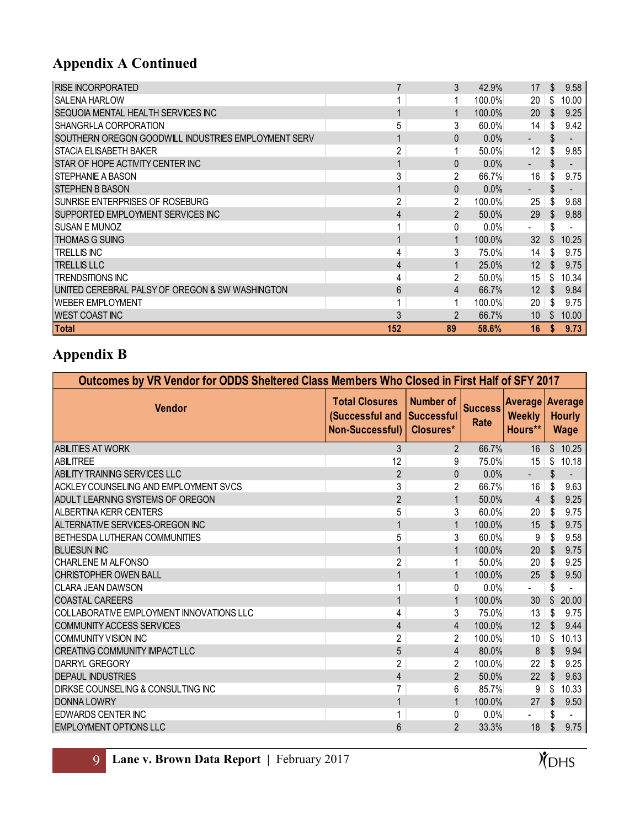# **Appendix A Continued**

| <b>RISE INCORPORATED</b>                            |                | 3            | 42.9%    | 17                       | \$. | 9.58  |
|-----------------------------------------------------|----------------|--------------|----------|--------------------------|-----|-------|
| <b>SALENA HARLOW</b>                                |                |              | 100.0%   | 20                       | S   | 10.00 |
| SEQUOIA MENTAL HEALTH SERVICES INC                  |                |              | 100.0%   | 20                       | S.  | 9.25  |
| SHANGRI-LA CORPORATION                              | 5              | 3            | $60.0\%$ | 14                       |     | 9.42  |
| SOUTHERN OREGON GOODWILL INDUSTRIES EMPLOYMENT SERV |                | 0            | 0.0%     | $\blacksquare$           | \$  |       |
| STACIA ELISABETH BAKER                              | 2              | $\mathbf{1}$ | 50.0%    | 12                       |     | 9.85  |
| STAR OF HOPE ACTIVITY CENTER INC                    |                | 0            | 0.0%     | ٠                        |     |       |
| STEPHANIE A BASON                                   | 3              | 2            | 66.7%    | 16                       |     | 9.75  |
| <b>STEPHEN B BASON</b>                              |                | 0            | 0.0%     |                          |     |       |
| SUNRISE ENTERPRISES OF ROSEBURG                     | $\overline{c}$ | 2            | 100.0%   | 25                       |     | 9.68  |
| SUPPORTED EMPLOYMENT SERVICES INC                   | 4              | 2            | 50.0%    | 29                       | \$. | 9.88  |
| SUSAN E MUNOZ                                       |                | 0            | 0.0%     | $\overline{\phantom{a}}$ | \$  |       |
| THOMAS G SUING                                      |                |              | 100.0%   | 32                       | \$. | 10.25 |
| TRELLIS INC                                         | 4              | 3            | 75.0%    | 14                       |     | 9.75  |
| <b>TRELLIS LLC</b>                                  | 4              |              | 25.0%    | 12                       | S.  | 9.75  |
| <b>TRENDSITIONS INC</b>                             | 4              | 2            | 50.0%    | 15                       | S   | 10.34 |
| UNITED CEREBRAL PALSY OF OREGON & SW WASHINGTON     | 6              | 4            | 66.7%    | 12                       |     | 9.84  |
| <b>WEBER EMPLOYMENT</b>                             |                |              | 100.0%   | 20                       |     | 9.75  |
| <b>WEST COAST INC</b>                               | 3              | 2            | 66.7%    | 10                       | \$  | 10.00 |
| <b>Total</b>                                        | 152            | 89           | 58.6%    | 16                       |     | 9.73  |

## **Appendix B**

| Outcomes by VR Vendor for ODDS Sheltered Class Members Who Closed in First Half of SFY 2017 |                                                                    |                                                    |                        |                          |                                                        |         |  |
|---------------------------------------------------------------------------------------------|--------------------------------------------------------------------|----------------------------------------------------|------------------------|--------------------------|--------------------------------------------------------|---------|--|
| <b>Vendor</b>                                                                               | <b>Total Closures</b><br>(Successful and<br><b>Non-Successful)</b> | <b>Number of</b><br><b>Successful</b><br>Closures* | <b>Success</b><br>Rate | <b>Weekly</b><br>Hours** | <b>Average Average</b><br><b>Hourly</b><br><b>Wage</b> |         |  |
| <b>ABILITIES AT WORK</b>                                                                    | 3                                                                  | $\overline{2}$                                     | 66.7%                  | 16                       |                                                        | \$10.25 |  |
| <b>ABILITREE</b>                                                                            | 12                                                                 | 9                                                  | 75.0%                  | 15                       | \$                                                     | 10.18   |  |
| ABILITY TRAINING SERVICES LLC                                                               | $\overline{2}$                                                     | $\mathbf{0}$                                       | 0.0%                   | $\blacksquare$           | \$.                                                    |         |  |
| ACKLEY COUNSELING AND EMPLOYMENT SVCS                                                       | 3                                                                  | $\overline{c}$                                     | 66.7%                  | 16                       | \$                                                     | 9.63    |  |
| ADULT LEARNING SYSTEMS OF OREGON                                                            | $\overline{2}$                                                     | $\mathbf{1}$                                       | 50.0%                  | $\overline{4}$           | \$                                                     | 9.25    |  |
| ALBERTINA KERR CENTERS                                                                      | 5                                                                  | 3                                                  | 60.0%                  | 20                       | \$                                                     | 9.75    |  |
| ALTERNATIVE SERVICES-OREGON INC                                                             |                                                                    | $\mathbf{1}$                                       | 100.0%                 | 15                       | <sup>\$</sup>                                          | 9.75    |  |
| <b>BETHESDA LUTHERAN COMMUNITIES</b>                                                        | 5                                                                  | 3                                                  | 60.0%                  | 9                        | \$                                                     | 9.58    |  |
| <b>BLUESUN INC</b>                                                                          | 1                                                                  | $\mathbf{1}$                                       | 100.0%                 | 20                       | \$                                                     | 9.75    |  |
| <b>CHARLENE M ALFONSO</b>                                                                   | $\overline{2}$                                                     | 1                                                  | 50.0%                  | 20                       | S                                                      | 9.25    |  |
| CHRISTOPHER OWEN BALL                                                                       |                                                                    | $\mathbf{1}$                                       | 100.0%                 | 25                       |                                                        | 9.50    |  |
| <b>CLARA JEAN DAWSON</b>                                                                    | 1                                                                  | 0                                                  | 0.0%                   | $\blacksquare$           | \$                                                     |         |  |
| <b>COASTAL CAREERS</b>                                                                      | 1                                                                  | $\mathbf{1}$                                       | 100.0%                 | 30                       |                                                        | 20.00   |  |
| COLLABORATIVE EMPLOYMENT INNOVATIONS LLC                                                    | 4                                                                  | 3                                                  | 75.0%                  | 13                       | \$                                                     | 9.75    |  |
| COMMUNITY ACCESS SERVICES                                                                   | 4                                                                  | 4                                                  | 100.0%                 | 12                       | $\mathfrak{L}$                                         | 9.44    |  |
| COMMUNITY VISION INC                                                                        | $\overline{2}$                                                     | $\overline{2}$                                     | 100.0%                 | 10                       | \$                                                     | 10.13   |  |
| <b>CREATING COMMUNITY IMPACT LLC</b>                                                        | $\overline{5}$                                                     | 4                                                  | 80.0%                  | $\boldsymbol{8}$         | $\sqrt[6]{3}$                                          | 9.94    |  |
| <b>DARRYL GREGORY</b>                                                                       | $\overline{2}$                                                     | $\overline{2}$                                     | 100.0%                 | 22                       |                                                        | 9.25    |  |
| <b>DEPAUL INDUSTRIES</b>                                                                    | $\overline{4}$                                                     | $\overline{2}$                                     | 50.0%                  | 22                       |                                                        | 9.63    |  |
| <b>DIRKSE COUNSELING &amp; CONSULTING INC</b>                                               | 7                                                                  | 6                                                  | 85.7%                  | 9                        | S                                                      | 10.33   |  |
| <b>DONNA LOWRY</b>                                                                          | 1                                                                  | $\mathbf{1}$                                       | 100.0%                 | 27                       | \$                                                     | 9.50    |  |
| <b>EDWARDS CENTER INC</b>                                                                   | 1                                                                  | 0                                                  | 0.0%                   |                          | \$                                                     |         |  |
| <b>EMPLOYMENT OPTIONS LLC</b>                                                               | 6                                                                  | $\overline{2}$                                     | 33.3%                  | 18                       |                                                        | 9.75    |  |